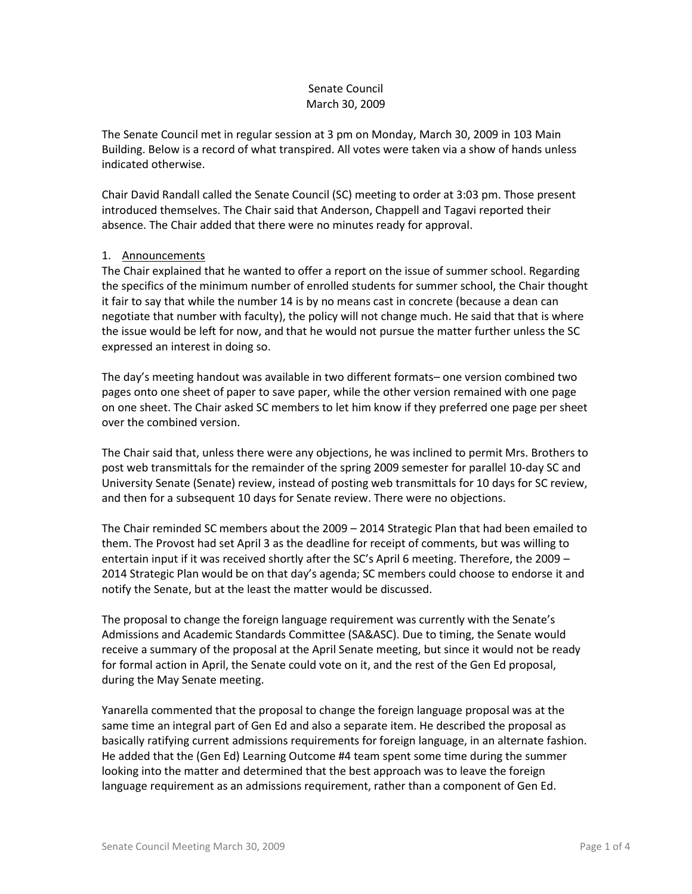# Senate Council March 30, 2009

The Senate Council met in regular session at 3 pm on Monday, March 30, 2009 in 103 Main Building. Below is a record of what transpired. All votes were taken via a show of hands unless indicated otherwise.

Chair David Randall called the Senate Council (SC) meeting to order at 3:03 pm. Those present introduced themselves. The Chair said that Anderson, Chappell and Tagavi reported their absence. The Chair added that there were no minutes ready for approval.

# 1. Announcements

The Chair explained that he wanted to offer a report on the issue of summer school. Regarding the specifics of the minimum number of enrolled students for summer school, the Chair thought it fair to say that while the number 14 is by no means cast in concrete (because a dean can negotiate that number with faculty), the policy will not change much. He said that that is where the issue would be left for now, and that he would not pursue the matter further unless the SC expressed an interest in doing so.

The day's meeting handout was available in two different formats– one version combined two pages onto one sheet of paper to save paper, while the other version remained with one page on one sheet. The Chair asked SC members to let him know if they preferred one page per sheet over the combined version.

The Chair said that, unless there were any objections, he was inclined to permit Mrs. Brothers to post web transmittals for the remainder of the spring 2009 semester for parallel 10-day SC and University Senate (Senate) review, instead of posting web transmittals for 10 days for SC review, and then for a subsequent 10 days for Senate review. There were no objections.

The Chair reminded SC members about the 2009 – 2014 Strategic Plan that had been emailed to them. The Provost had set April 3 as the deadline for receipt of comments, but was willing to entertain input if it was received shortly after the SC's April 6 meeting. Therefore, the 2009 – 2014 Strategic Plan would be on that day's agenda; SC members could choose to endorse it and notify the Senate, but at the least the matter would be discussed.

The proposal to change the foreign language requirement was currently with the Senate's Admissions and Academic Standards Committee (SA&ASC). Due to timing, the Senate would receive a summary of the proposal at the April Senate meeting, but since it would not be ready for formal action in April, the Senate could vote on it, and the rest of the Gen Ed proposal, during the May Senate meeting.

Yanarella commented that the proposal to change the foreign language proposal was at the same time an integral part of Gen Ed and also a separate item. He described the proposal as basically ratifying current admissions requirements for foreign language, in an alternate fashion. He added that the (Gen Ed) Learning Outcome #4 team spent some time during the summer looking into the matter and determined that the best approach was to leave the foreign language requirement as an admissions requirement, rather than a component of Gen Ed.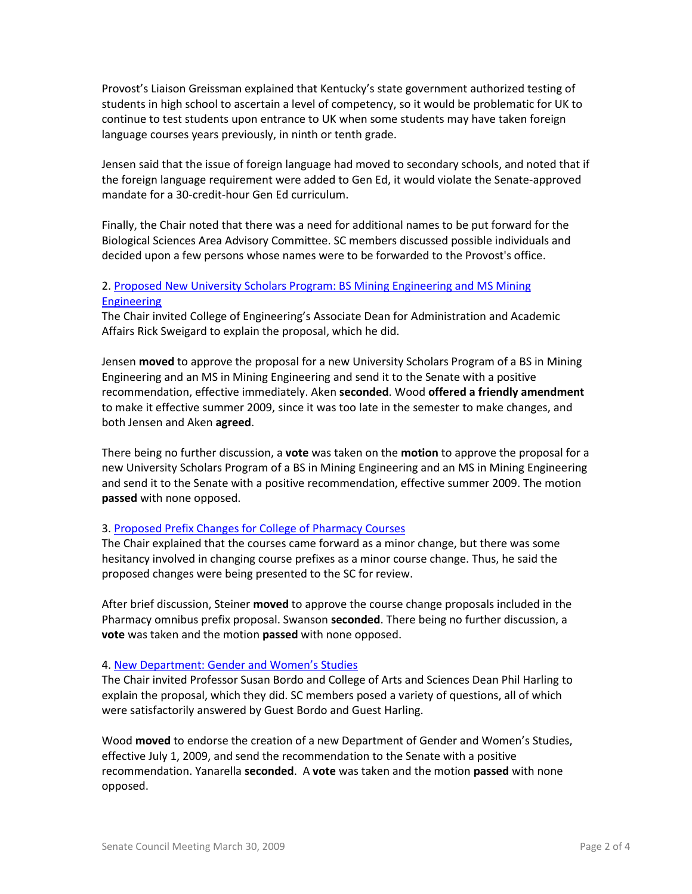Provost's Liaison Greissman explained that Kentucky's state government authorized testing of students in high school to ascertain a level of competency, so it would be problematic for UK to continue to test students upon entrance to UK when some students may have taken foreign language courses years previously, in ninth or tenth grade.

Jensen said that the issue of foreign language had moved to secondary schools, and noted that if the foreign language requirement were added to Gen Ed, it would violate the Senate-approved mandate for a 30-credit-hour Gen Ed curriculum.

Finally, the Chair noted that there was a need for additional names to be put forward for the Biological Sciences Area Advisory Committee. SC members discussed possible individuals and decided upon a few persons whose names were to be forwarded to the Provost's office.

## 2. [Proposed New University Scholars Program: BS Mining Engineering and MS Mining](http://www.uky.edu/USC/New/files/MS%20Mining%20Engr%20&%20BS%20Mining%20Engr%20-%20New%20USP_Complete.pdf)  [Engineering](http://www.uky.edu/USC/New/files/MS%20Mining%20Engr%20&%20BS%20Mining%20Engr%20-%20New%20USP_Complete.pdf)

The Chair invited College of Engineering's Associate Dean for Administration and Academic Affairs Rick Sweigard to explain the proposal, which he did.

Jensen **moved** to approve the proposal for a new University Scholars Program of a BS in Mining Engineering and an MS in Mining Engineering and send it to the Senate with a positive recommendation, effective immediately. Aken **seconded**. Wood **offered a friendly amendment**  to make it effective summer 2009, since it was too late in the semester to make changes, and both Jensen and Aken **agreed**.

There being no further discussion, a **vote** was taken on the **motion** to approve the proposal for a new University Scholars Program of a BS in Mining Engineering and an MS in Mining Engineering and send it to the Senate with a positive recommendation, effective summer 2009. The motion **passed** with none opposed.

# 3. [Proposed Prefix Changes for College of Pharmacy Courses](http://www.uky.edu/USC/New/files/PHR%20to%20PS%20&%20PPS%20Courses.pdf)

The Chair explained that the courses came forward as a minor change, but there was some hesitancy involved in changing course prefixes as a minor course change. Thus, he said the proposed changes were being presented to the SC for review.

After brief discussion, Steiner **moved** to approve the course change proposals included in the Pharmacy omnibus prefix proposal. Swanson **seconded**. There being no further discussion, a **vote** was taken and the motion **passed** with none opposed.

#### 4. [New Department: Gender and Women's Studies](http://www.uky.edu/USC/New/files/GWS%20Dept%20Proposal%20&%20Response_Complete1.pdf)

The Chair invited Professor Susan Bordo and College of Arts and Sciences Dean Phil Harling to explain the proposal, which they did. SC members posed a variety of questions, all of which were satisfactorily answered by Guest Bordo and Guest Harling.

Wood **moved** to endorse the creation of a new Department of Gender and Women's Studies, effective July 1, 2009, and send the recommendation to the Senate with a positive recommendation. Yanarella **seconded**. A **vote** was taken and the motion **passed** with none opposed.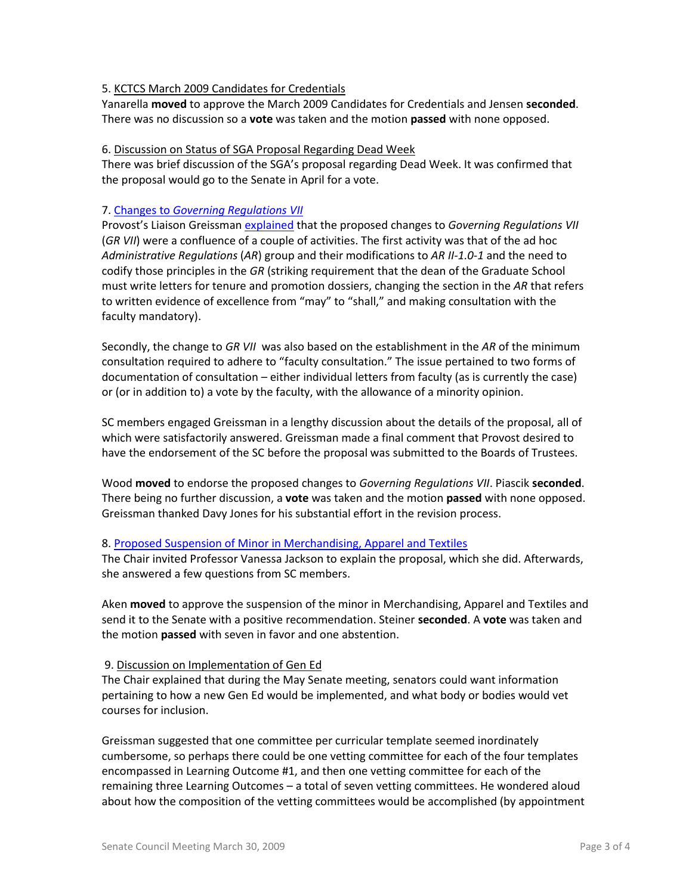## 5. KCTCS March 2009 Candidates for Credentials

Yanarella **moved** to approve the March 2009 Candidates for Credentials and Jensen **seconded**. There was no discussion so a **vote** was taken and the motion **passed** with none opposed.

### 6. Discussion on Status of SGA Proposal Regarding Dead Week

There was brief discussion of the SGA's proposal regarding Dead Week. It was confirmed that the proposal would go to the Senate in April for a vote.

### 7. Changes to *[Governing Regulations VII](http://www.uky.edu/USC/New/files/GR%20VII%20-%20consulted%20faculty%20(version%203-30-09).pdf)*

Provost's Liaison Greissman [explained](http://www.uky.edu/USC/New/files/revision%20of%20GR%20VII-B-5%20(consulted%20faculty).pdf) that the proposed changes to *Governing Regulations VII*  (*GR VII*) were a confluence of a couple of activities. The first activity was that of the ad hoc *Administrative Regulations* (*AR*) group and their modifications to *AR II-1.0-1* and the need to codify those principles in the *GR* (striking requirement that the dean of the Graduate School must write letters for tenure and promotion dossiers, changing the section in the *AR* that refers to written evidence of excellence from "may" to "shall," and making consultation with the faculty mandatory).

Secondly, the change to *GR VII* was also based on the establishment in the *AR* of the minimum consultation required to adhere to "faculty consultation." The issue pertained to two forms of documentation of consultation – either individual letters from faculty (as is currently the case) or (or in addition to) a vote by the faculty, with the allowance of a minority opinion.

SC members engaged Greissman in a lengthy discussion about the details of the proposal, all of which were satisfactorily answered. Greissman made a final comment that Provost desired to have the endorsement of the SC before the proposal was submitted to the Boards of Trustees.

Wood **moved** to endorse the proposed changes to *Governing Regulations VII*. Piascik **seconded**. There being no further discussion, a **vote** was taken and the motion **passed** with none opposed. Greissman thanked Davy Jones for his substantial effort in the revision process.

# 8. [Proposed Suspension of Minor in Merchandising, Apparel and Textiles](http://www.uky.edu/USC/New/files/MAT%20Minor%20-%20Suspend%20Program_Complete.pdf)

The Chair invited Professor Vanessa Jackson to explain the proposal, which she did. Afterwards, she answered a few questions from SC members.

Aken **moved** to approve the suspension of the minor in Merchandising, Apparel and Textiles and send it to the Senate with a positive recommendation. Steiner **seconded**. A **vote** was taken and the motion **passed** with seven in favor and one abstention.

#### 9. Discussion on Implementation of Gen Ed

The Chair explained that during the May Senate meeting, senators could want information pertaining to how a new Gen Ed would be implemented, and what body or bodies would vet courses for inclusion.

Greissman suggested that one committee per curricular template seemed inordinately cumbersome, so perhaps there could be one vetting committee for each of the four templates encompassed in Learning Outcome #1, and then one vetting committee for each of the remaining three Learning Outcomes – a total of seven vetting committees. He wondered aloud about how the composition of the vetting committees would be accomplished (by appointment